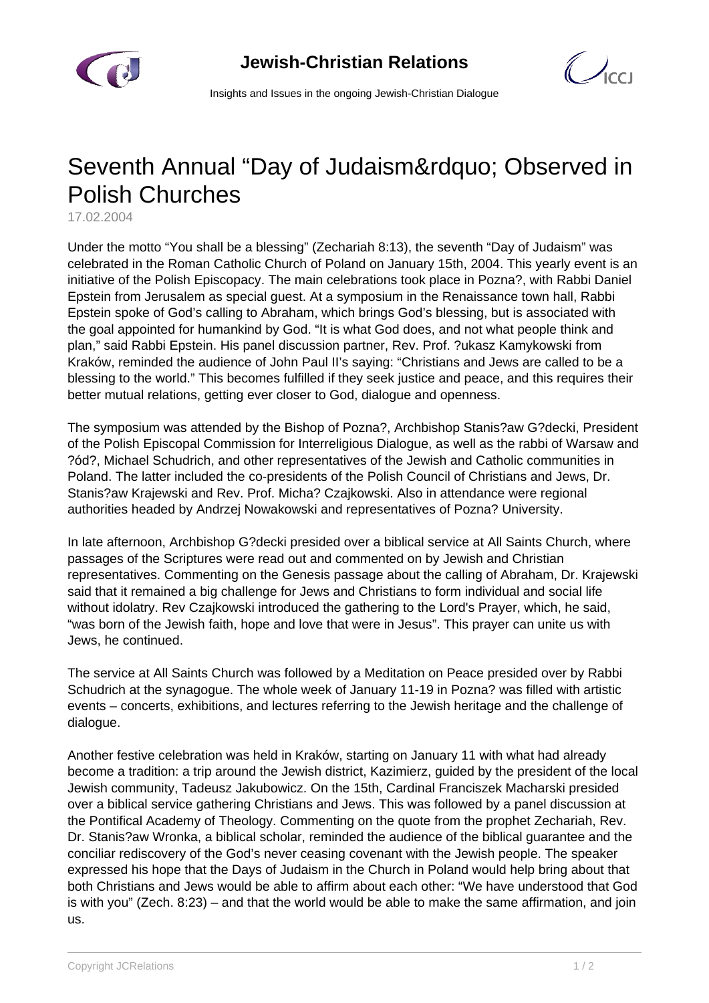

 $\bigcup_{C}$ 

Insights and Issues in the ongoing Jewish-Christian Dialogue

## Seventh Annual "Day of Judaism" Observed in Polish Churches

17.02.2004

Under the motto "You shall be a blessing" (Zechariah 8:13), the seventh "Day of Judaism" was celebrated in the Roman Catholic Church of Poland on January 15th, 2004. This yearly event is an initiative of the Polish Episcopacy. The main celebrations took place in Pozna?, with Rabbi Daniel Epstein from Jerusalem as special guest. At a symposium in the Renaissance town hall, Rabbi Epstein spoke of God's calling to Abraham, which brings God's blessing, but is associated with the goal appointed for humankind by God. "It is what God does, and not what people think and plan," said Rabbi Epstein. His panel discussion partner, Rev. Prof. ?ukasz Kamykowski from Kraków, reminded the audience of John Paul II's saying: "Christians and Jews are called to be a blessing to the world." This becomes fulfilled if they seek justice and peace, and this requires their better mutual relations, getting ever closer to God, dialogue and openness.

The symposium was attended by the Bishop of Pozna?, Archbishop Stanis?aw G?decki, President of the Polish Episcopal Commission for Interreligious Dialogue, as well as the rabbi of Warsaw and ?ód?, Michael Schudrich, and other representatives of the Jewish and Catholic communities in Poland. The latter included the co-presidents of the Polish Council of Christians and Jews, Dr. Stanis?aw Krajewski and Rev. Prof. Micha? Czajkowski. Also in attendance were regional authorities headed by Andrzej Nowakowski and representatives of Pozna? University.

In late afternoon, Archbishop G?decki presided over a biblical service at All Saints Church, where passages of the Scriptures were read out and commented on by Jewish and Christian representatives. Commenting on the Genesis passage about the calling of Abraham, Dr. Krajewski said that it remained a big challenge for Jews and Christians to form individual and social life without idolatry. Rev Czajkowski introduced the gathering to the Lord's Prayer, which, he said, "was born of the Jewish faith, hope and love that were in Jesus". This prayer can unite us with Jews, he continued.

The service at All Saints Church was followed by a Meditation on Peace presided over by Rabbi Schudrich at the synagogue. The whole week of January 11-19 in Pozna? was filled with artistic events – concerts, exhibitions, and lectures referring to the Jewish heritage and the challenge of dialogue.

Another festive celebration was held in Kraków, starting on January 11 with what had already become a tradition: a trip around the Jewish district, Kazimierz, guided by the president of the local Jewish community, Tadeusz Jakubowicz. On the 15th, Cardinal Franciszek Macharski presided over a biblical service gathering Christians and Jews. This was followed by a panel discussion at the Pontifical Academy of Theology. Commenting on the quote from the prophet Zechariah, Rev. Dr. Stanis?aw Wronka, a biblical scholar, reminded the audience of the biblical guarantee and the conciliar rediscovery of the God's never ceasing covenant with the Jewish people. The speaker expressed his hope that the Days of Judaism in the Church in Poland would help bring about that both Christians and Jews would be able to affirm about each other: "We have understood that God is with you" (Zech. 8:23) – and that the world would be able to make the same affirmation, and join us.